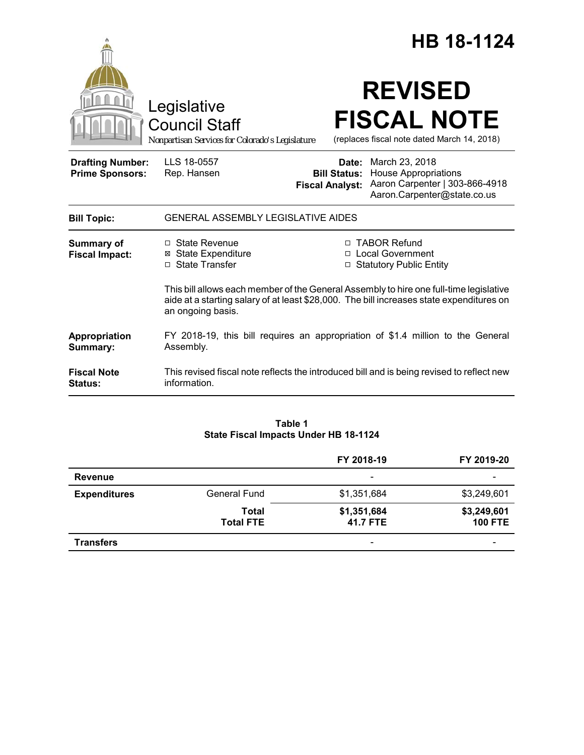|                                                   |                                                                                                                                                                                                         |                                                        | HB 18-1124                                                                                                     |
|---------------------------------------------------|---------------------------------------------------------------------------------------------------------------------------------------------------------------------------------------------------------|--------------------------------------------------------|----------------------------------------------------------------------------------------------------------------|
|                                                   | Legislative<br><b>Council Staff</b><br>Nonpartisan Services for Colorado's Legislature                                                                                                                  |                                                        | <b>REVISED</b><br><b>FISCAL NOTE</b><br>(replaces fiscal note dated March 14, 2018)                            |
| <b>Drafting Number:</b><br><b>Prime Sponsors:</b> | LLS 18-0557<br>Rep. Hansen                                                                                                                                                                              | Date:<br><b>Bill Status:</b><br><b>Fiscal Analyst:</b> | March 23, 2018<br><b>House Appropriations</b><br>Aaron Carpenter   303-866-4918<br>Aaron.Carpenter@state.co.us |
| <b>Bill Topic:</b>                                | <b>GENERAL ASSEMBLY LEGISLATIVE AIDES</b>                                                                                                                                                               |                                                        |                                                                                                                |
| <b>Summary of</b><br><b>Fiscal Impact:</b>        | □ State Revenue<br><b>⊠ State Expenditure</b><br>□ State Transfer                                                                                                                                       |                                                        | □ TABOR Refund<br>□ Local Government<br>□ Statutory Public Entity                                              |
|                                                   | This bill allows each member of the General Assembly to hire one full-time legislative<br>aide at a starting salary of at least \$28,000. The bill increases state expenditures on<br>an ongoing basis. |                                                        |                                                                                                                |
| Appropriation<br>Summary:                         | Assembly.                                                                                                                                                                                               |                                                        | FY 2018-19, this bill requires an appropriation of \$1.4 million to the General                                |
| <b>Fiscal Note</b><br>Status:                     | information.                                                                                                                                                                                            |                                                        | This revised fiscal note reflects the introduced bill and is being revised to reflect new                      |

# **Table 1 State Fiscal Impacts Under HB 18-1124**

|                     |                           | FY 2018-19               | FY 2019-20                    |
|---------------------|---------------------------|--------------------------|-------------------------------|
| Revenue             |                           | $\overline{\phantom{a}}$ |                               |
| <b>Expenditures</b> | <b>General Fund</b>       | \$1,351,684              | \$3,249,601                   |
|                     | Total<br><b>Total FTE</b> | \$1,351,684<br>41.7 FTE  | \$3,249,601<br><b>100 FTE</b> |
| <b>Transfers</b>    |                           | $\overline{\phantom{a}}$ |                               |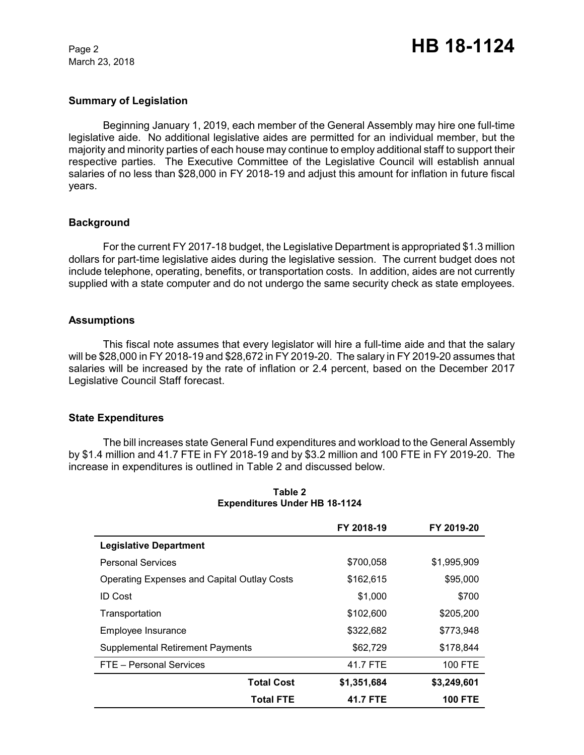March 23, 2018

## **Summary of Legislation**

Beginning January 1, 2019, each member of the General Assembly may hire one full-time legislative aide. No additional legislative aides are permitted for an individual member, but the majority and minority parties of each house may continue to employ additional staff to support their respective parties. The Executive Committee of the Legislative Council will establish annual salaries of no less than \$28,000 in FY 2018-19 and adjust this amount for inflation in future fiscal years.

### **Background**

For the current FY 2017-18 budget, the Legislative Department is appropriated \$1.3 million dollars for part-time legislative aides during the legislative session. The current budget does not include telephone, operating, benefits, or transportation costs. In addition, aides are not currently supplied with a state computer and do not undergo the same security check as state employees.

### **Assumptions**

This fiscal note assumes that every legislator will hire a full-time aide and that the salary will be \$28,000 in FY 2018-19 and \$28,672 in FY 2019-20. The salary in FY 2019-20 assumes that salaries will be increased by the rate of inflation or 2.4 percent, based on the December 2017 Legislative Council Staff forecast.

### **State Expenditures**

The bill increases state General Fund expenditures and workload to the General Assembly by \$1.4 million and 41.7 FTE in FY 2018-19 and by \$3.2 million and 100 FTE in FY 2019-20. The increase in expenditures is outlined in Table 2 and discussed below.

|                                                    | FY 2018-19  | FY 2019-20     |
|----------------------------------------------------|-------------|----------------|
| <b>Legislative Department</b>                      |             |                |
| <b>Personal Services</b>                           | \$700,058   | \$1,995,909    |
| <b>Operating Expenses and Capital Outlay Costs</b> | \$162,615   | \$95,000       |
| <b>ID Cost</b>                                     | \$1,000     | \$700          |
| Transportation                                     | \$102,600   | \$205,200      |
| Employee Insurance                                 | \$322,682   | \$773,948      |
| <b>Supplemental Retirement Payments</b>            | \$62,729    | \$178,844      |
| FTE - Personal Services                            | 41.7 FTE    | <b>100 FTE</b> |
| <b>Total Cost</b>                                  | \$1,351,684 | \$3,249,601    |
| <b>Total FTE</b>                                   | 41.7 FTE    | <b>100 FTE</b> |

### **Table 2 Expenditures Under HB 18-1124**